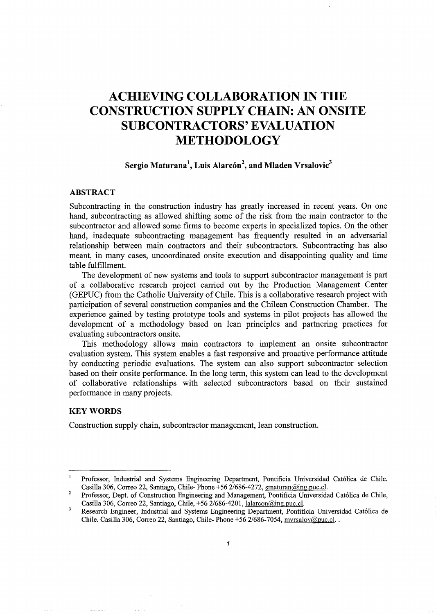# **ACHIEVING COLLABORATION IN THE CONSTRUCTION SUPPLY CHAIN: AN ONSITE SUBCONTRACTORS' EVALUATION METHODOLOGY**

# **Sergio Maturana\ Luis Alarcon<sup>2</sup> , and Mladen Vrsalovic<sup>3</sup>**

## **ABSTRACT**

Subcontracting in the construction industry has greatly increased in recent years. On one hand, subcontracting as allowed shifting some of the risk from the main contractor to the subcontractor and allowed some firms to become experts in specialized topics. On the other hand, inadequate subcontracting management has frequently resulted in an adversarial relationship between main contractors and their subcontractors. Subcontracting has also meant, in many cases, uncoordinated onsite execution and disappointing quality and time table fulfillment.

The development of new systems and tools to support subcontractor management is part of a collaborative research project carried out by the Production Management Center (GEPUC) from the Catholic University of Chile. This is a collaborative research project with participation of several construction companies and the Chilean Construction Chamber. The experience gained by testing prototype tools and systems in pilot projects has allowed the development of a methodology based on lean principles and partnering practices for evaluating subcontractors onsite.

This methodology allows main contractors to implement an onsite subcontractor evaluation system. This system enables a fast responsive and proactive performance attitude by conducting periodic evaluations. The system can also support subcontractor selection based on their onsite performance. In the long term, this system can lead to the development of collaborative relationships with selected subcontractors based on their sustained performance in many projects.

## **KEYWORDS**

Construction supply chain, subcontractor management, lean construction.

 $\mathbf{1}$ Professor, Industrial and Systems Engineering Department, Pontificia Universidad Cat6lica de Chile. Casilla 306, Correo 22, Santiago, Chile- Phone +56 2/686-4272, smaturan@ing.puc.cl.

 $\overline{2}$ Professor, Dept. of Construction Engineering and Management, Pontificia Universidad Cat6lica de Chile, Casilla 306, Correo 22, Santiago, Chile, +56 2/686-4201, lalarcon@ing.puc.cl.

 $\overline{\mathbf{3}}$ Research Engineer, Industrial and Systems Engineering Department, Pontificia Universidad Cat6lica de Chile. Casilla 306, Correo 22, Santiago, Chile- Phone +56 2/686-7054, mvrsalov@puc.cl ..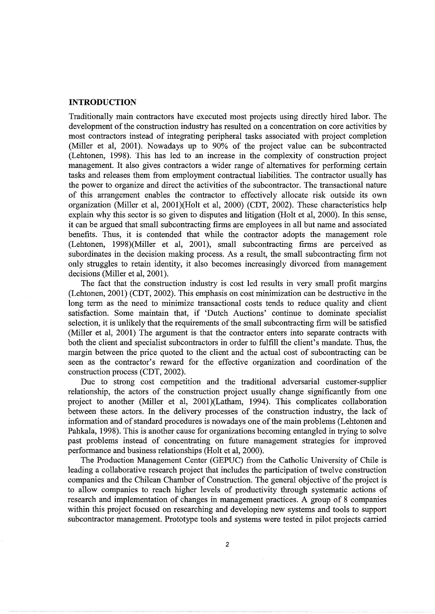## **INTRODUCTION**

Traditionally main contractors have executed most projects using directly hired labor. The development of the construction industry has resulted on a concentration on core activities by most contractors instead of integrating peripheral tasks associated with project completion (Miller et al, 2001). Nowadays up to 90% of the project value can be subcontracted (Lehtonen, 1998). This has led to an increase in the complexity of construction project management. It also gives contractors a wider range of alternatives for performing certain tasks and releases them from employment contractual liabilities. The contractor usually has the power to organize and direct the activities of the subcontractor. The transactional nature of this arrangement enables the contractor to effectively allocate risk outside its own organization (Miller et al, 2001)(Holt et al, 2000) (CDT, 2002). These characteristics help explain why this sector is so given to disputes and litigation (Holt et al, 2000). In this sense, it can be argued that small subcontracting firms are employees in all but name and associated benefits. Thus, it is contended that while the contractor adopts the management role (Lehtonen, 1998)(Miller et al, 2001), small subcontracting firms are perceived as subordinates in the decision making process. As a result, the small subcontracting firm not only struggles to retain identity, it also becomes increasingly divorced from management decisions (Miller et al, 2001).

The fact that the construction industry is cost led results in very small profit margins (Lehtonen, 2001) (CDT, 2002). This emphasis on cost minimization can be destructive in the long term as the need to minimize transactional costs tends to reduce quality and client satisfaction. Some maintain that, if 'Dutch Auctions' continue to dominate specialist selection, it is unlikely that the requirements of the small subcontracting firm will be satisfied (Miller et al, 2001) The argument is that the contractor enters into separate contracts with both the client and specialist subcontractors in order to fulfill the client's mandate. Thus, the margin between the price quoted to the client and the actual cost of subcontracting can be seen as the contractor's reward for the effective organization and coordination of the construction process (CDT, 2002).

Due to strong cost competition and the traditional adversarial customer-supplier relationship, the actors of the construction project usually change significantly from one project to another (Miller et al, 2001)(Latham, 1994). This complicates collaboration between these actors. In the delivery processes of the construction industry, the lack of information and of standard procedures is nowadays one of the main problems (Lehtonen and Pahkala, 1998). This is another cause for organizations becoming entangled in trying to solve past problems instead of concentrating on future management strategies for improved performance and business relationships (Holt et al, 2000).

The Production Management Center (GEPUC) from the Catholic University of Chile is leading a collaborative research project that includes the participation of twelve construction companies and the Chilean Chamber of Construction. The general objective of the project is to allow companies to reach higher levels of productivity through systematic actions of research and implementation of changes in management practices. A group of 8 companies within this project focused on researching and developing new systems and tools to support subcontractor management. Prototype tools and systems were tested in pilot projects carried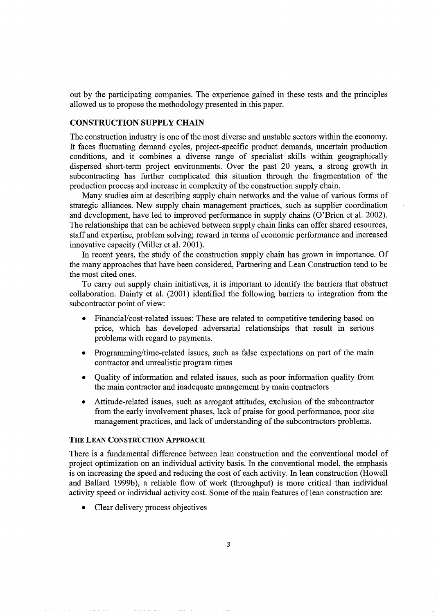out by the participating companies. The experience gained in these tests and the principles allowed us to propose the methodology presented in this paper.

# CONSTRUCTION SUPPLY CHAIN

The construction industry is one of the most diverse and unstable sectors within the economy. It faces fluctuating demand cycles, project-specific product demands, uncertain production conditions, and it combines a diverse range of specialist skills within geographically dispersed short-term project environments. Over the past 20 years, a strong growth in subcontracting has further complicated this situation through the fragmentation of the production process and increase in complexity of the construction supply chain.

Many studies aim at describing supply chain networks and the value of various forms of strategic alliances. New supply chain management practices, such as supplier coordination and development, have led to improved performance in supply chains (O'Brien et al. 2002). The relationships that can be achieved between supply chain links can offer shared resources, staff and expertise, problem solving; reward in terms of economic performance and increased innovative capacity (Miller et al. 2001).

In recent years, the study of the construction supply chain has grown in importance. Of the many approaches that have been considered, Partnering and Lean Construction tend to be the most cited ones.

To carry out supply chain initiatives, it is important to identify the barriers that obstruct collaboration. Dainty et al. (2001) identified the following barriers to integration from the subcontractor point of view:

- Financial/cost-related issues: These are related to competitive tendering based on price, which has developed adversarial relationships that result in serious problems with regard to payments.
- Programming/time-related issues, such as false expectations on part of the main contractor and unrealistic program times
- Quality of information and related issues, such as poor information quality from the main contractor and inadequate management by main contractors
- Attitude-related issues, such as arrogant attitudes, exclusion of the subcontractor from the early involvement phases, lack of praise for good performance, poor site management practices, and lack of understanding of the subcontractors problems.

## THE LEAN CONSTRUCTION APPROACH

There is a fundamental difference between lean construction and the conventional model of project optimization on an individual activity basis. In the conventional model, the emphasis is on increasing the speed and reducing the cost of each activity. In lean construction (Howell and Ballard 1999b), a reliable flow of work (throughput) is more critical than individual activity speed or individual activity cost. Some of the main features of lean construction are:

Clear delivery process objectives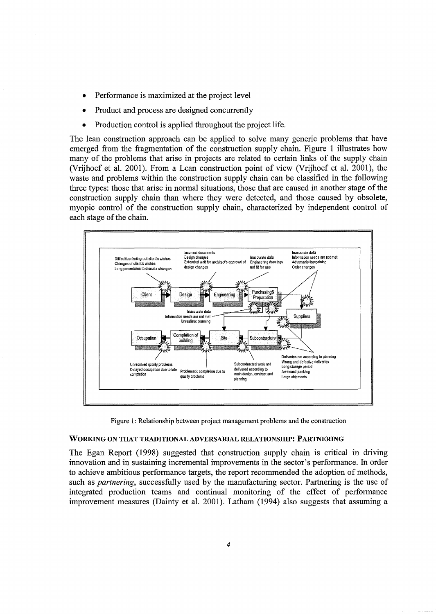- Performance is maximized at the project level
- Product and process are designed concurrently
- Production control is applied throughout the project life.

The lean construction approach can be applied to solve many generic problems that have emerged from the fragmentation of the construction supply chain. Figure 1 illustrates how many of the problems that arise in projects are related to certain links of the supply chain (Vrijhoef et al. 2001). From a Lean construction point of view (Vrijhoef et al. 2001), the waste and problems within the construction supply chain can be classified in the following three types: those that arise in normal situations, those that are caused in another stage of the construction supply chain than where they were detected, and those caused by obsolete, myopic control of the construction supply chain, characterized by independent control of each stage of the chain.



Figure 1: Relationship between project management problems and the construction

#### WORKING ON THAT TRADITIONAL ADVERSARIAL RELATIONSHIP: PARTNERING

The Egan Report (1998) suggested that construction supply chain is critical in driving innovation and in sustaining incremental improvements in the sector's performance. In order to achieve ambitious performance targets, the report recommended the adoption of methods, such as *partnering,* successfully used by the manufacturing sector. Partnering is the use of integrated production teams and continual monitoring of the effect of performance improvement measures (Dainty et al. 2001). Latham (1994) also suggests that assuming a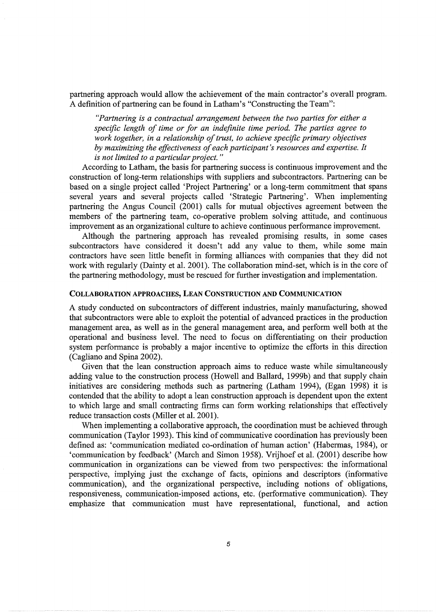partnering approach would allow the achievement of the main contractor's overall program. A definition of partnering can be found in Latham's "Constructing the Team":

*"Partnering is a contractual arrangement between the two parties for either a specific length of time or for an indefinite time period. The parties agree to work together, in a relationship of trust, to achieve specific primary objectives by maximizing the effectiveness of each participant's resources and expertise.* It *is not limited to a particular project.* "

According to Latham, the basis for partnering success is continuous improvement and the construction of long-term relationships with suppliers and subcontractors. Partnering can be based on a single project called 'Project Partnering' or a long-term commitment that spans several years and several projects called 'Strategic Partnering'. When implementing partnering the Angus Council (2001) calls for mutual objectives agreement between the members of the partnering team, co-operative problem solving attitude, and continuous improvement as an organizational culture to achieve continuous performance improvement.

Although the partnering approach has revealed promising results, in some cases subcontractors have considered it doesn't add any value to them, while some main contractors have seen little benefit in forming alliances with companies that they did not work with regularly (Dainty et al. 2001). The collaboration mind-set, which is in the core of the partnering methodology, must be rescued for further investigation and implementation.

#### COLLABORATION APPROACHES, LEAN CONSTRUCTION AND COMMUNICATION

A study conducted on subcontractors of different industries, mainly manufacturing, showed that subcontractors were able to exploit the potential of advanced practices in the production management area, as well as in the general management area, and perform well both at the operational and business level. The need to focus on differentiating on their production system performance is probably a major incentive to optimize the efforts in this direction (Cagliano and Spina 2002).

Given that the lean construction approach aims to reduce waste while simultaneously adding value to the construction process (Howell and Ballard, 1999b) and that supply chain initiatives are considering methods such as partnering (Latham 1994), (Egan 1998) it is contended that the ability to adopt a lean construction approach is dependent upon the extent to which large and small contracting firms can form working relationships that effectively reduce transaction costs (Miller et al. 2001).

When implementing a collaborative approach, the coordination must be achieved through communication (Taylor 1993). This kind of communicative coordination has previously been defined as: 'communication mediated co-ordination of human action' (Habermas, 1984), or 'communication by feedback' (March and Simon 1958). Vrijhoef et al. (2001) describe how communication in organizations can be viewed from two perspectives: the informational perspective, implying just the exchange of facts, opinions and descriptors (informative communication), and the organizational perspective, including notions of obligations, responsiveness, communication-imposed actions, etc. (performative communication). They emphasize that communication must have representational, functional, and action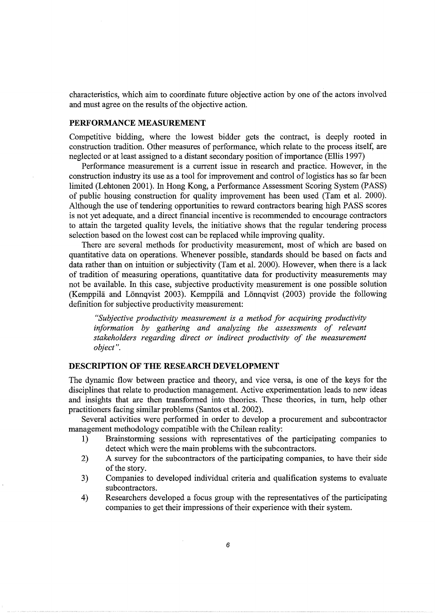characteristics, which aim to coordinate future objective action by one of the actors involved and must agree on the results of the objective action.

# **PERFORMANCE MEASUREMENT**

Competitive bidding, where the lowest bidder gets the contract, is deeply rooted in construction tradition. Other measures of performance, which relate to the process itself, are neglected or at least assigned to a distant secondary position of importance (Ellis 1997)

Performance measurement is a current issue in research and practice. However, in the construction industry its use as a tool for improvement and control of logistics has so far been limited (Lehtonen 2001). In Hong Kong, a Performance Assessment Scoring System (PASS) of public housing construction for quality improvement has been used (Tam et al. 2000). Although the use of tendering opportunities to reward contractors bearing high PASS scores is not yet adequate, and a direct financial incentive is recommended to encourage contractors to attain the targeted quality levels, the initiative shows that the regular tendering process selection based on the lowest cost can be replaced while improving quality.

There are several methods for productivity measurement, most of which are based on quantitative data on operations. Whenever possible, standards should be based on facts and data rather than on intuition or subjectivity (Tam et al. 2000). However, when there is a lack of tradition of measuring operations, quantitative data for productivity measurements may not be available. In this case, subjective productivity measurement is one possible solution (Kemppilä and Lönnqvist 2003). Kemppilä and Lönnqvist (2003) provide the following definition for subjective productivity measurement:

*"Subjective productivity measurement is a method for acquiring productivity information by gathering and analyzing the assessments of relevant stakeholders regarding direct or indirect productivity of the measurement object".* 

## **DESCRIPTION OF THE RESEARCH DEVELOPMENT**

The dynamic flow between practice and theory, and vice versa, is one of the keys for the disciplines that relate to production management. Active experimentation leads to new ideas and insights that are then transformed into theories. These theories, in tum, help other practitioners facing similar problems (Santos et al. 2002).

Several activities were performed in order to develop a procurement and subcontractor management methodology compatible with the Chilean reality:

- **1)** Brainstorming sessions with representatives of the participating companies to detect which were the main problems with the subcontractors.
- 2) A survey for the subcontractors of the participating companies, to have their side of the story.
- 3) Companies to developed individual criteria and qualification systems to evaluate subcontractors.
- 4) Researchers developed a focus group with the representatives of the participating companies to get their impressions of their experience with their system.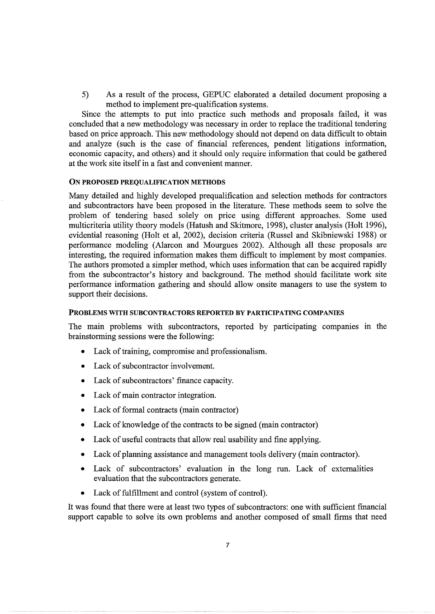5) As a result of the process, GEPUC elaborated a detailed document proposing a method to implement pre-qualification systems.

Since the attempts to put into practice such methods and proposals failed, it was concluded that a new methodology was necessary in order to replace the traditional tendering based on price approach. This new methodology should not depend on data difficult to obtain and analyze (such is the case of financial references, pendent litigations information, economic capacity, and others) and it should only require information that could be gathered at the work site itself in a fast and convenient manner.

#### ON PROPOSED PREQUALIFICATION METHODS

Many detailed and highly developed prequalification and selection methods for contractors and subcontractors have been proposed in the literature. These methods seem to solve the problem of tendering based solely on price using different approaches. Some used multicriteria utility theory models (Hatush and Skitmore, 1998), cluster analysis (Holt 1996), evidential reasoning (Holt et al, 2002), decision criteria (Russel and Skibniewski 1988) or performance modeling (Alarcon and Mourgues 2002). Although all these proposals are interesting, the required information makes them difficult to implement by most companies. The authors promoted a simpler method, which uses information that can be acquired rapidly from the subcontractor's history and background. The method should facilitate work site performance information gathering and should allow onsite managers to use the system to support their decisions.

## PROBLEMS WITH SUBCONTRACTORS REPORTED BY PARTICIPATING COMPANIES

The main problems with subcontractors, reported by participating companies in the brainstorming sessions were the following:

- Lack of training, compromise and professionalism.
- Lack of subcontractor involvement.
- Lack of subcontractors' finance capacity.
- Lack of main contractor integration.
- Lack of formal contracts (main contractor)
- Lack of knowledge of the contracts to be signed (main contractor)
- Lack of useful contracts that allow real usability and fine applying.
- Lack of planning assistance and management tools delivery (main contractor).
- Lack of subcontractors' evaluation in the long run. Lack of externalities evaluation that the subcontractors generate.
- Lack of fulfillment and control (system of control).

It was found that there were at least two types of subcontractors: one with sufficient financial support capable to solve its own problems and another composed of small firms that need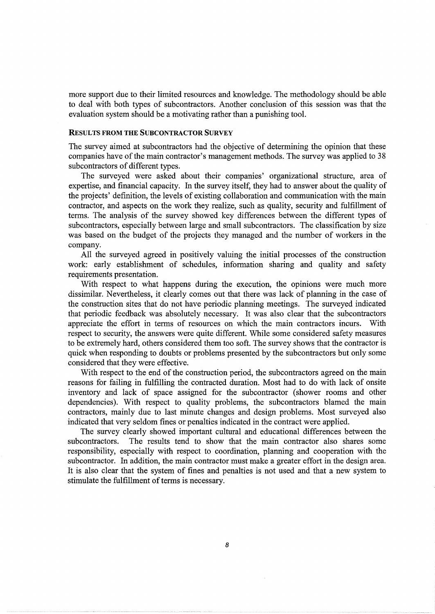more support due to their limited resources and knowledge. The methodology should be able to deal with both types of subcontractors. Another conclusion of this session was that the evaluation system should be a motivating rather than a punishing tool.

# RESULTS FROM THE SUBCONTRACTOR SURVEY

The survey aimed at subcontractors had the objective of determining the opinion that these companies have of the main contractor's management methods. The survey was applied to 38 subcontractors of different types.

The surveyed were asked about their companies' organizational structure, area of expertise, and financial capacity. In the survey itself, they had to answer about the quality of the projects' definition, the levels of existing collaboration and communication with the main contractor, and aspects on the work they realize, such as quality, security and fulfillment of terms. The analysis of the survey showed key differences between the different types of subcontractors, especially between large and small subcontractors. The classification by size was based on the budget of the projects they managed and the number of workers in the company.

All the surveyed agreed in positively valuing the initial processes of the construction work: early establishment of schedules, information sharing and quality and safety requirements presentation.

With respect to what happens during the execution, the opinions were much more dissimilar. Nevertheless, it clearly comes out that there was lack of planning in the case of the construction sites that do not have periodic planning meetings. The surveyed indicated that periodic feedback was absolutely necessary. It was also clear that the subcontractors appreciate the effort in terms of resources on which the main contractors incurs. With respect to security, the answers were quite different. While some considered safety measures to be extremely hard, others considered them too soft. The survey shows that the contractor is quick when responding to doubts or problems presented by the subcontractors but only some considered that they were effective.

With respect to the end of the construction period, the subcontractors agreed on the main reasons for failing in fulfilling the contracted duration. Most had to do with lack of onsite inventory and lack of space assigned for the subcontractor (shower rooms and other dependencies). With respect to quality problems, the subcontractors blamed the main contractors, mainly due to last minute changes and design problems. Most surveyed also indicated that very seldom fines or penalties indicated in the contract were applied.

The survey clearly showed important cultural and educational differences between the subcontractors. The results tend to show that the main contractor also shares some responsibility, especially with respect to coordination, planning and cooperation with the subcontractor. In addition, the main contractor must make a greater effort in the design area. It is also clear that the system of fines and penalties is not used and that a new system to stimulate the fulfillment of terms is necessary.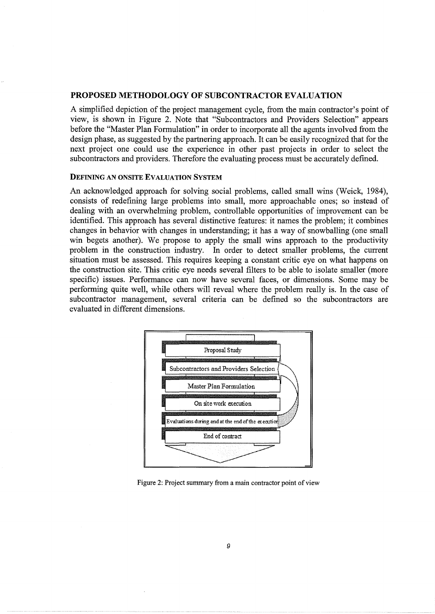## **PROPOSED METHODOLOGY OF SUBCONTRACTOR EVALUATION**

A simplified depiction of the project management cycle, from the main contractor's point of view, is shown in Figure 2. Note that "Subcontractors and Providers Selection" appears before the "Master Plan Formulation" in order to incorporate all the agents involved from the design phase, as suggested by the partnering approach. It can be easily recognized that for the next project one could use the experience in other past projects in order to select the subcontractors and providers. Therefore the evaluating process must be accurately defined.

#### DEFINING AN ONSITE EVALUATION SYSTEM

An acknowledged approach for solving social problems, called small wins (Weick, 1984), consists of redefining large problems into small, more approachable ones; so instead of dealing with an overwhelming problem, controllable opportunities of improvement can be identified. This approach has several distinctive features: it names the problem; it combines changes in behavior with changes in understanding; it has a way of snowballing (one small win begets another). We propose to apply the small wins approach to the productivity problem in the construction industry. In order to detect smaller problems, the current situation must be assessed. This requires keeping a constant critic eye on what happens on the construction site. This critic eye needs several filters to be able to isolate smaller (more specific) issues. Performance can now have several faces, or dimensions. Some may be performing quite well, while others will reveal where the problem really is. In the case of subcontractor management, several criteria can be defined so the subcontractors are evaluated in different dimensions.



Figure 2: Project summary from a main contractor point of view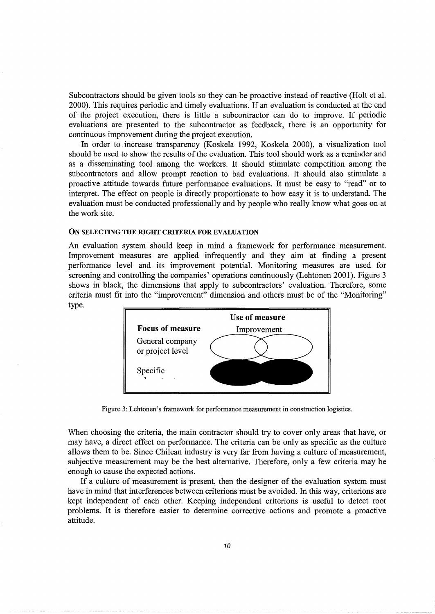Subcontractors should be given tools so they can be proactive instead of reactive (Holt et al. 2000). This requires periodic and timely evaluations. If an evaluation is conducted at the end of the project execution, there is little a subcontractor can do to improve. If periodic evaluations are presented to the subcontractor as feedback, there is an opportunity for continuous improvement during the project execution.

In order to increase transparency (Koskela 1992, Koskela 2000), a visualization tool should be used to show the results of the evaluation. This tool should work as a reminder and as a disseminating tool among the workers. It should stimulate competition among the subcontractors and allow prompt reaction to bad evaluations. It should also stimulate a proactive attitude towards future performance evaluations. It must be easy to "read" or to interpret. The effect on people is directly proportionate to how easy it is to understand. The evaluation must be conducted professionally and by people who really know what goes on at the work site.

#### ON SELECTING THE RIGHT CRITERIA FOR EVALUATION

An evaluation system should keep in mind a framework for performance measurement. Improvement measures are applied infrequently and they aim at finding a present performance level and its improvement potential. Monitoring measures are used for screening and controlling the companies' operations continuously (Lehtonen 2001). Figure 3 shows in black, the dimensions that apply to subcontractors' evaluation. Therefore, some criteria must fit into the "improvement" dimension and others must be of the "Monitoring" type.



Figure 3: Lehtonen's framework for performance measurement in construction logistics.

When choosing the criteria, the main contractor should try to cover only areas that have, or may have, a direct effect on performance. The criteria can be only as specific as the culture allows them to be. Since Chilean industry is very far from having a culture of measurement, subjective measurement may be the best alternative. Therefore, only a few criteria may be enough to cause the expected actions.

If a culture of measurement is present, then the designer of the evaluation system must have in mind that interferences between criterions must be avoided. In this way, criterions are kept independent of each other. Keeping independent criterions is useful to detect root problems. It is therefore easier to determine corrective actions and promote a proactive attitude.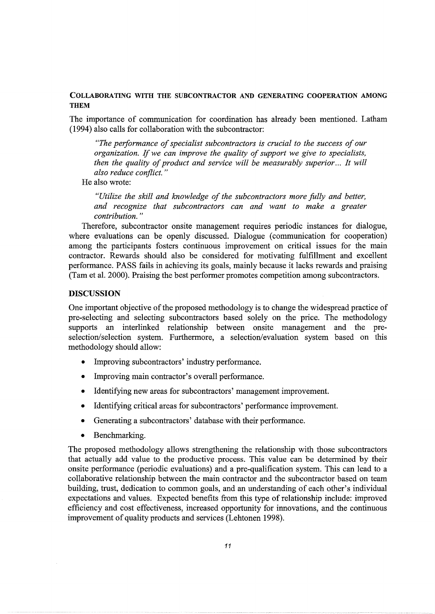# COLLABORATING WITH THE SUBCONTRACTOR AND GENERATING COOPERATION AMONG THEM

The importance of communication for coordination has already been mentioned. Latham (1994) also calls for collaboration with the subcontractor:

*"The performance of specialist subcontractors is crucial to the success of our organization.* If *we can improve the quality of support we give to specialists, then the quality of product and service will be measurably superior... It will also reduce conflict.* "

He also wrote:

*"Utilize the skill and knowledge of the subcontractors more fully and better,*  and recognize that subcontractors can and want to make a greater *contribution.* "

Therefore, subcontractor onsite management requires periodic instances for dialogue, where evaluations can be openly discussed. Dialogue (communication for cooperation) among the participants fosters continuous improvement on critical issues for the main contractor. Rewards should also be considered for motivating fulfillment and excellent performance. PASS fails in achieving its goals, mainly because it lacks rewards and praising (Tam et al. 2000). Praising the best performer promotes competition among subcontractors.

#### DISCUSSION

One important objective of the proposed methodology is to change the widespread practice of pre-selecting and selecting subcontractors based solely on the price. The methodology supports an interlinked relationship between onsite management and the preselection/selection system. Furthermore, a selection/evaluation system based on this methodology should allow:

- Improving subcontractors' industry performance.
- Improving main contractor's overall performance.
- Identifying new areas for subcontractors' management improvement.
- Identifying critical areas for subcontractors' performance improvement.
- Generating a subcontractors' database with their performance.
- Benchmarking.

The proposed methodology allows strengthening the relationship with those subcontractors that actually add value to the productive process. This value can be determined by their onsite performance (periodic evaluations) and a pre-qualification system. This can lead to a collaborative relationship between the main contractor and the subcontractor based on team building, trust, dedication to common goals, and an understanding of each other's individual expectations and values. Expected benefits from this type of relationship include: improved efficiency and cost effectiveness, increased opportunity for innovations, and the continuous improvement of quality products and services (Lehtonen 1998).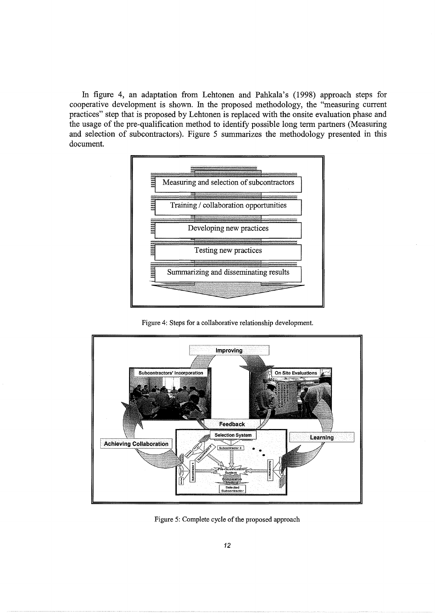In figure 4, an adaptation from Lehtonen and Pahkala's (1998) approach steps for cooperative development is shown. In the proposed methodology, the "measuring current practices" step that is proposed by Lehtonen is replaced with the onsite evaluation phase and the usage of the pre-qualification method to identify possible long term partners (Measuring and selection of subcontractors). Figure 5 summarizes the methodology presented in this document.



Figure 4: Steps for a collaborative relationship development.



Figure 5: Complete cycle of the proposed approach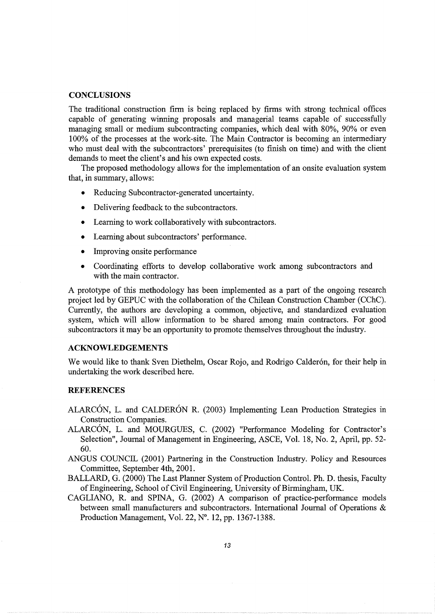## **CONCLUSIONS**

The traditional construction firm is being replaced by firms with strong technical offices capable of generating winning proposals and managerial teams capable of successfully managing small or medium subcontracting companies, which deal with 80%, 90% or even 100% of the processes at the work-site. The Main Contractor is becoming an intermediary who must deal with the subcontractors' prerequisites (to finish on time) and with the client demands to meet the client's and his own expected costs.

The proposed methodology allows for the implementation of an onsite evaluation system that, in summary, allows:

- Reducing Subcontractor-generated uncertainty.
- Delivering feedback to the subcontractors.
- Learning to work collaboratively with subcontractors.
- Learning about subcontractors' performance.
- Improving onsite performance
- Coordinating efforts to develop collaborative work among subcontractors and with the main contractor.

A prototype of this methodology has been implemented as a part of the ongoing research project led by GEPUC with the collaboration of the Chilean Construction Chamber (CChC). Currently, the authors are developing a common, objective, and standardized evaluation system, which will allow information to be shared among main contractors. For good subcontractors it may be an opportunity to promote themselves throughout the industry.

#### **ACKNOWLEDGEMENTS**

We would like to thank Sven Diethelm, Oscar Rojo, and Rodrigo Calderón, for their help in undertaking the work described here.

# **REFERENCES**

- ALARCON, L. and CALDERON R. (2003) Implementing Lean Production Strategies in Construction Companies.
- ALARCON, L. and MOURGUES, C. (2002) "Performance Modeling for Contractor's Selection", Journal of Management in Engineering, ASCE, Vol. 18, No.2, April, pp. 52- 60.
- ANGUS COUNCIL (2001) Partnering in the Construction Industry. Policy and Resources Committee, September 4th, 2001.
- BALLARD, G. (2000) The Last Planner System of Production Control. Ph. D. thesis, Faculty of Engineering, School of Civil Engineering, University of Birmingham, UK.
- CAGLIANO, R. and SPINA, G. (2002) A comparison of practice-performance models between small manufacturers and subcontractors. International Journal of Operations & Production Management, Vol. 22, N°. 12, pp. 1367-1388.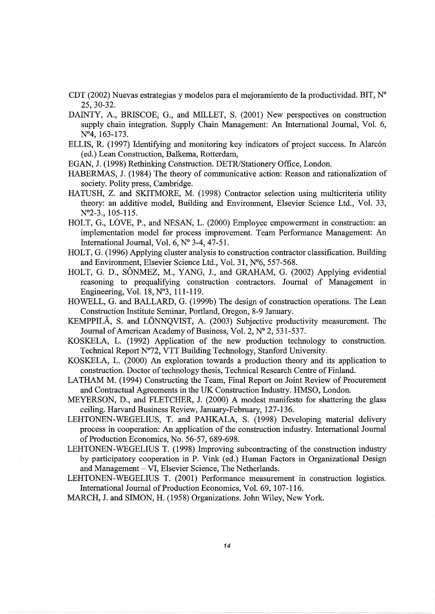- CDT (2002) Nuevas estrategias y modelos para el mejoramiento de la productividad. BIT, N° 25,30-32.
- DAINTY, A., BRISCOE, G., and MILLET, S. (2001) New perspectives on construction supply chain integration. Supply Chain Management: An International Journal, Vol. 6, N°4, 163-173.
- ELLIS, R. (1997) Identifying and monitoring key indicators of project success. In Alarcón ( ed.) Lean Construction, Balkema, Rotterdam,
- EGAN, J. (1998) Rethinking Construction. DETR/Stationery Office, London.
- HABERMAS, J. (1984) The theory of communicative action: Reason and rationalization of society. Polity press, Cambridge.
- HATUSH, Z. and SKITMORE, M. (1998) Contractor selection using multicriteria utility theory: an additive model, Building and Environment, Elsevier Science Ltd., Vol. 33, N°2-3., 105-115.
- HOLT, G., LOVE, P., and NESAN, L. (2000) Employee empowerment in construction: an implementation model for process improvement. Team Performance Management: An International Journal, Vol. 6, N° 3-4, 47-51.
- HOLT, G. (1996) Applying cluster analysis to construction contractor classification. Building and Environment, Elsevier Science Ltd., Vol. 31, N°6, 557-568.
- HOLT, G. D., SÔNMEZ, M., YANG, J., and GRAHAM, G. (2002) Applying evidential reasoning to prequalifying construction contractors. Journal of Management in Engineering, Vol. 18, N°3, 111-119.
- HOWELL, G. and BALLARD, G. (1999b) The design of construction operations. The Lean Construction Institute Seminar, Portland, Oregon, 8-9 January.
- KEMPPILÄ, S. and LÖNNOVIST, A. (2003) Subjective productivity measurement. The Journal of American Academy of Business, Vol. 2, Nº 2, 531-537.
- KOSKELA, L. (1992) Application of the new production technology to construction. Technical Report N°72, VTT Building Technology, Stanford University.
- KOSKELA, L. (2000) An exploration towards a production theory and its application to construction. Doctor of technology thesis, Technical Research Centre of Finland.
- LATHAM M. (1994) Constructing the Team, Final Report on Joint Review of Procurement and Contractual Agreements in the UK Construction Industry. HMSO, London.
- MEYERSON, D., and FLETCHER, J. (2000) A modest manifesto for shattering the glass ceiling. Harvard Business Review, January-February, 127-136.
- LEHTONEN-WEGELIUS, T. and PAHKALA, S. (1998) Developing material delivery process in cooperation: An application of the construction industry. International Journal of Production Economics, No. 56-57, 689-698.
- LEHTONEN-WEGELIUS T. (1998) Improving subcontracting of the construction industry by participatory cooperation in P. Vink (ed.) Human Factors in Organizational Design and Management - VI, Elsevier Science, The Netherlands.
- LEHTONEN-WEGELIUS T. (2001) Performance measurement in construction logistics. International Journal of Production Economics, Vol. 69, 107-116.

MARCH, J. and SIMON, H. (1958) Organizations. John Wiley, New York.